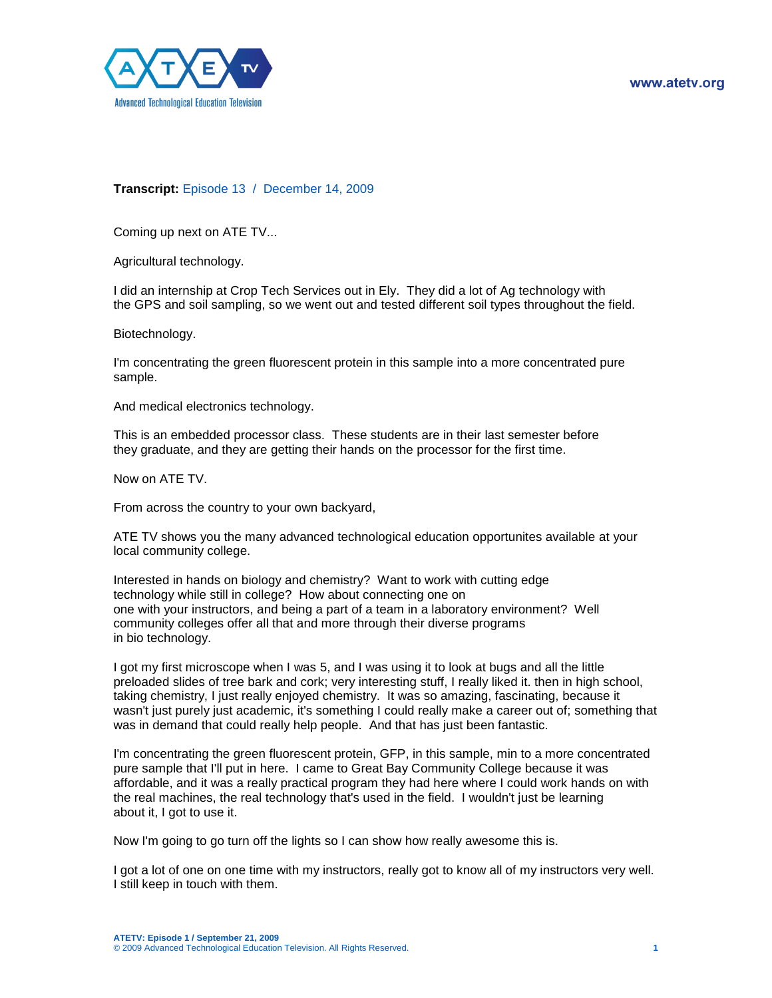

## **Transcript:** Episode 13 / December 14, 2009

Coming up next on ATE TV...

Agricultural technology.

I did an internship at Crop Tech Services out in Ely. They did a lot of Ag technology with the GPS and soil sampling, so we went out and tested different soil types throughout the field.

Biotechnology.

I'm concentrating the green fluorescent protein in this sample into a more concentrated pure sample.

And medical electronics technology.

This is an embedded processor class. These students are in their last semester before they graduate, and they are getting their hands on the processor for the first time.

Now on ATE TV.

From across the country to your own backyard,

ATE TV shows you the many advanced technological education opportunites available at your local community college.

Interested in hands on biology and chemistry? Want to work with cutting edge technology while still in college? How about connecting one on one with your instructors, and being a part of a team in a laboratory environment? Well community colleges offer all that and more through their diverse programs in bio technology.

I got my first microscope when I was 5, and I was using it to look at bugs and all the little preloaded slides of tree bark and cork; very interesting stuff, I really liked it. then in high school, taking chemistry, I just really enjoyed chemistry. It was so amazing, fascinating, because it wasn't just purely just academic, it's something I could really make a career out of; something that was in demand that could really help people. And that has just been fantastic.

I'm concentrating the green fluorescent protein, GFP, in this sample, min to a more concentrated pure sample that I'll put in here. I came to Great Bay Community College because it was affordable, and it was a really practical program they had here where I could work hands on with the real machines, the real technology that's used in the field. I wouldn't just be learning about it, I got to use it.

Now I'm going to go turn off the lights so I can show how really awesome this is.

I got a lot of one on one time with my instructors, really got to know all of my instructors very well. I still keep in touch with them.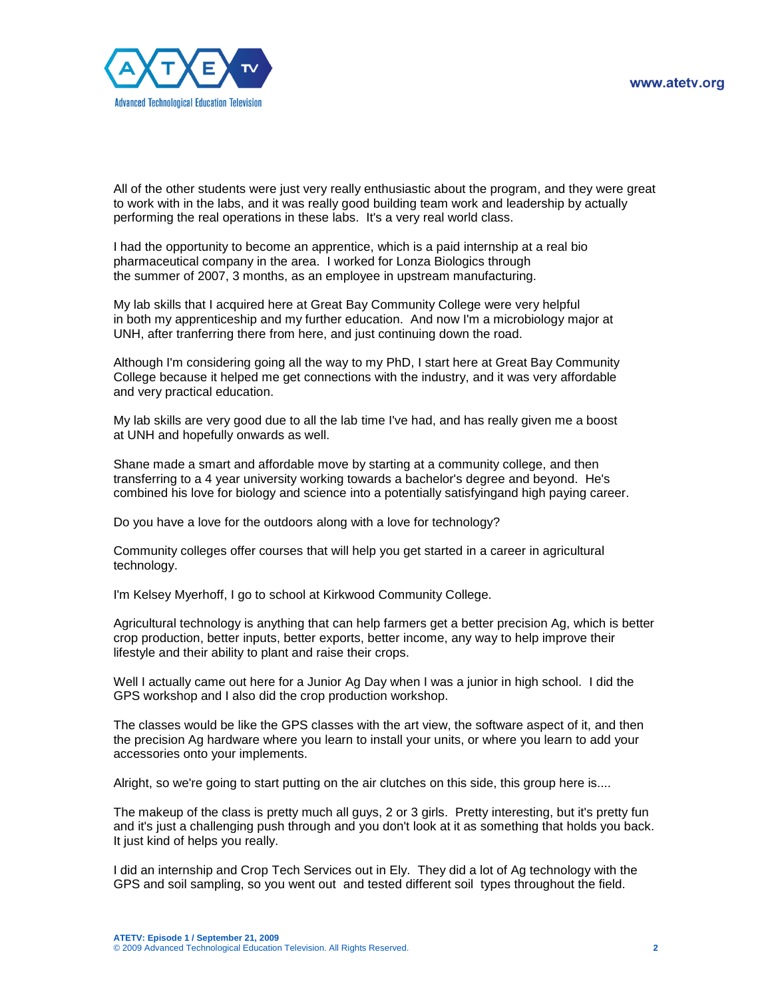

All of the other students were just very really enthusiastic about the program, and they were great to work with in the labs, and it was really good building team work and leadership by actually performing the real operations in these labs. It's a very real world class.

I had the opportunity to become an apprentice, which is a paid internship at a real bio pharmaceutical company in the area. I worked for Lonza Biologics through the summer of 2007, 3 months, as an employee in upstream manufacturing.

My lab skills that I acquired here at Great Bay Community College were very helpful in both my apprenticeship and my further education. And now I'm a microbiology major at UNH, after tranferring there from here, and just continuing down the road.

Although I'm considering going all the way to my PhD, I start here at Great Bay Community College because it helped me get connections with the industry, and it was very affordable and very practical education.

My lab skills are very good due to all the lab time I've had, and has really given me a boost at UNH and hopefully onwards as well.

Shane made a smart and affordable move by starting at a community college, and then transferring to a 4 year university working towards a bachelor's degree and beyond. He's combined his love for biology and science into a potentially satisfyingand high paying career.

Do you have a love for the outdoors along with a love for technology?

Community colleges offer courses that will help you get started in a career in agricultural technology.

I'm Kelsey Myerhoff, I go to school at Kirkwood Community College.

Agricultural technology is anything that can help farmers get a better precision Ag, which is better crop production, better inputs, better exports, better income, any way to help improve their lifestyle and their ability to plant and raise their crops.

Well I actually came out here for a Junior Ag Day when I was a junior in high school. I did the GPS workshop and I also did the crop production workshop.

The classes would be like the GPS classes with the art view, the software aspect of it, and then the precision Ag hardware where you learn to install your units, or where you learn to add your accessories onto your implements.

Alright, so we're going to start putting on the air clutches on this side, this group here is....

The makeup of the class is pretty much all guys, 2 or 3 girls. Pretty interesting, but it's pretty fun and it's just a challenging push through and you don't look at it as something that holds you back. It just kind of helps you really.

I did an internship and Crop Tech Services out in Ely. They did a lot of Ag technology with the GPS and soil sampling, so you went out and tested different soil types throughout the field.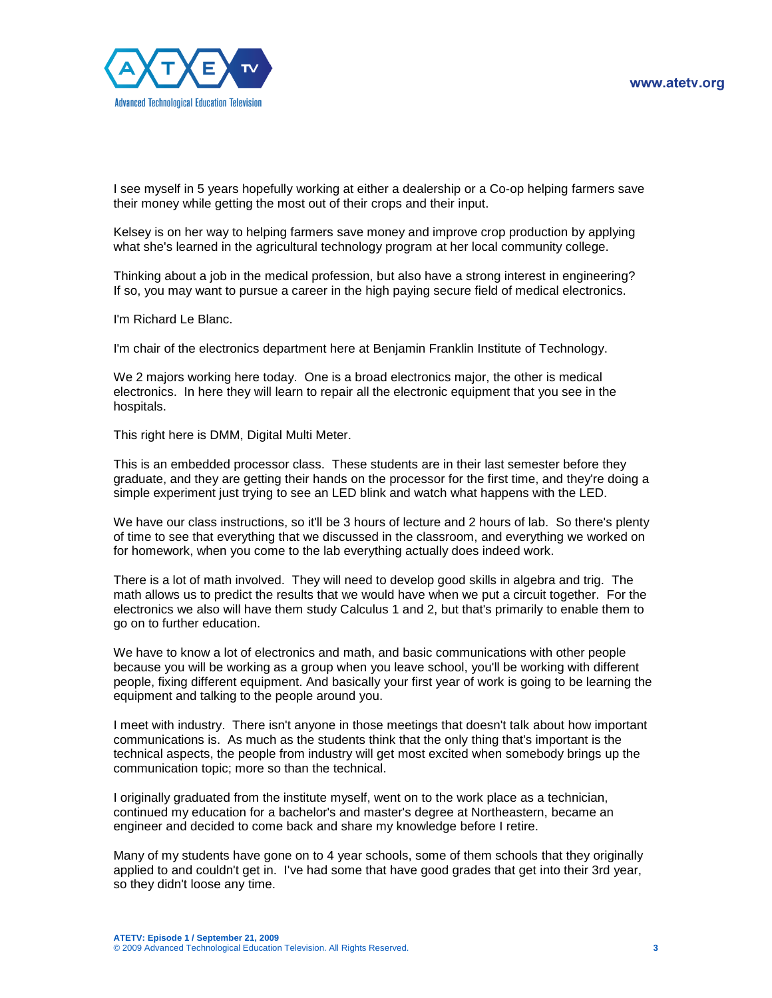

I see myself in 5 years hopefully working at either a dealership or a Co-op helping farmers save their money while getting the most out of their crops and their input.

Kelsey is on her way to helping farmers save money and improve crop production by applying what she's learned in the agricultural technology program at her local community college.

Thinking about a job in the medical profession, but also have a strong interest in engineering? If so, you may want to pursue a career in the high paying secure field of medical electronics.

I'm Richard Le Blanc.

I'm chair of the electronics department here at Benjamin Franklin Institute of Technology.

We 2 majors working here today. One is a broad electronics major, the other is medical electronics. In here they will learn to repair all the electronic equipment that you see in the hospitals.

This right here is DMM, Digital Multi Meter.

This is an embedded processor class. These students are in their last semester before they graduate, and they are getting their hands on the processor for the first time, and they're doing a simple experiment just trying to see an LED blink and watch what happens with the LED.

We have our class instructions, so it'll be 3 hours of lecture and 2 hours of lab. So there's plenty of time to see that everything that we discussed in the classroom, and everything we worked on for homework, when you come to the lab everything actually does indeed work.

There is a lot of math involved. They will need to develop good skills in algebra and trig. The math allows us to predict the results that we would have when we put a circuit together. For the electronics we also will have them study Calculus 1 and 2, but that's primarily to enable them to go on to further education.

We have to know a lot of electronics and math, and basic communications with other people because you will be working as a group when you leave school, you'll be working with different people, fixing different equipment. And basically your first year of work is going to be learning the equipment and talking to the people around you.

I meet with industry. There isn't anyone in those meetings that doesn't talk about how important communications is. As much as the students think that the only thing that's important is the technical aspects, the people from industry will get most excited when somebody brings up the communication topic; more so than the technical.

I originally graduated from the institute myself, went on to the work place as a technician, continued my education for a bachelor's and master's degree at Northeastern, became an engineer and decided to come back and share my knowledge before I retire.

Many of my students have gone on to 4 year schools, some of them schools that they originally applied to and couldn't get in. I've had some that have good grades that get into their 3rd year, so they didn't loose any time.